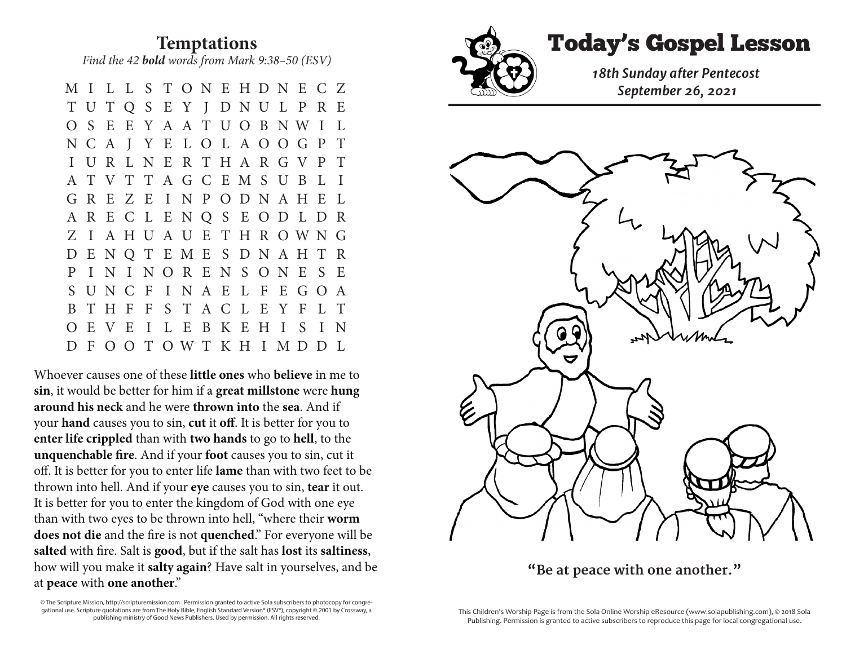**Temptations** *Find the 42 bold words from Mark 9:38–50 (ESV)* 

 M I L L S T O N E H D N E C Z T U T Q S E Y J D N U L P R E O S E E Y A A T U O B N W I L N C A J Y E L O L A O O G P T I U R L N E R T H A R G V P T A T V T T A G C E M S U B L I G R E Z E I N P O D N A H E L A R E C L E N Q S E O D L D R Z I A H U A U E T H R O W N G D E N Q T E M E S D N A H T R P I N I N O R E N S O N E S E S U N C F I N A E L F E G O A B T H F F S T A C L E Y F L T O E V E I L E B K E H I S I N D F O O T O W T K H I M D D L

Whoever causes one of these **little ones** who **believe** in me to **sin**, it would be better for him if a **great millstone** were **hung around his neck** and he were **thrown into** the **sea**. And if your **hand** causes you to sin, **cut** it **off**. It is better for you to **enter life crippled** than with **two hands** to go to **hell**, to the **unquenchable fire**. And if your **foot** causes you to sin, cut it off. It is better for you to enter life **lame** than with two feet to be thrown into hell. And if your **eye** causes you to sin, **tear** it out. It is better for you to enter the kingdom of God with one eye than with two eyes to be thrown into hell, "where their **worm does not die** and the fire is not **quenched**." For everyone will be **salted** with fire. Salt is **good**, but if the salt has **lost** its **saltiness**, how will you make it **salty again**? Have salt in yourselves, and be at **peace** with **one another**."

© The Scripture Mission, http://scripturemission.com . Permission granted to active Sola subscribers to photocopy for congregational use. Scripture quotations are from The Holy Bible, English Standard Version® (ESV®), copyright © 2001 by Crossway, a publishing ministry of Good News Publishers. Used by permission. All rights reserved.



**"Be at peace with one another."** 

at **peace** with **one another**."

This Children's Worship Page is from the Sola Online Worship eResource (www.solapublishing.com), © 2018 Sola Publishing. Permission is granted to active subscribers to reproduce this page for local congregational use.